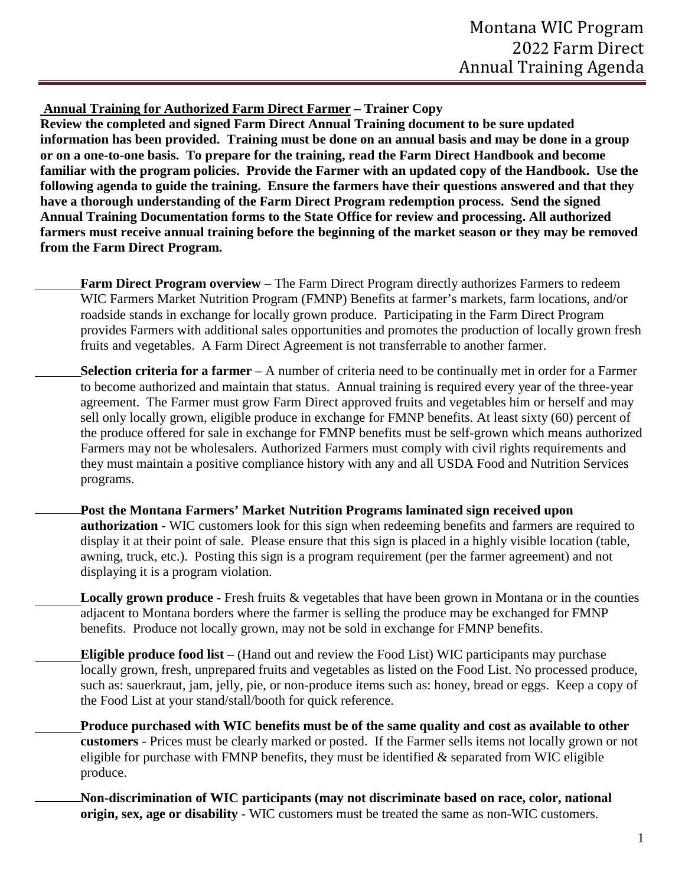**Annual Training for Authorized Farm Direct Farmer – Trainer Copy** 

**Review the completed and signed Farm Direct Annual Training document to be sure updated information has been provided. Training must be done on an annual basis and may be done in a group or on a one-to-one basis. To prepare for the training, read the Farm Direct Handbook and become familiar with the program policies. Provide the Farmer with an updated copy of the Handbook. Use the following agenda to guide the training. Ensure the farmers have their questions answered and that they have a thorough understanding of the Farm Direct Program redemption process. Send the signed Annual Training Documentation forms to the State Office for review and processing. All authorized farmers must receive annual training before the beginning of the market season or they may be removed from the Farm Direct Program.**

- **Farm Direct Program overview** The Farm Direct Program directly authorizes Farmers to redeem WIC Farmers Market Nutrition Program (FMNP) Benefits at farmer's markets, farm locations, and/or roadside stands in exchange for locally grown produce. Participating in the Farm Direct Program provides Farmers with additional sales opportunities and promotes the production of locally grown fresh fruits and vegetables. A Farm Direct Agreement is not transferrable to another farmer.
- **Selection criteria for a farmer** A number of criteria need to be continually met in order for a Farmer to become authorized and maintain that status. Annual training is required every year of the three-year agreement. The Farmer must grow Farm Direct approved fruits and vegetables him or herself and may sell only locally grown, eligible produce in exchange for FMNP benefits. At least sixty (60) percent of the produce offered for sale in exchange for FMNP benefits must be self-grown which means authorized Farmers may not be wholesalers. Authorized Farmers must comply with civil rights requirements and they must maintain a positive compliance history with any and all USDA Food and Nutrition Services programs.
	- **Post the Montana Farmers' Market Nutrition Programs laminated sign received upon authorization** - WIC customers look for this sign when redeeming benefits and farmers are required to display it at their point of sale. Please ensure that this sign is placed in a highly visible location (table, awning, truck, etc.). Posting this sign is a program requirement (per the farmer agreement) and not displaying it is a program violation.
		- **Locally grown produce** Fresh fruits & vegetables that have been grown in Montana or in the counties adjacent to Montana borders where the farmer is selling the produce may be exchanged for FMNP benefits. Produce not locally grown, may not be sold in exchange for FMNP benefits.
		- **Eligible produce food list** (Hand out and review the Food List) WIC participants may purchase locally grown, fresh, unprepared fruits and vegetables as listed on the Food List. No processed produce, such as: sauerkraut, jam, jelly, pie, or non-produce items such as: honey, bread or eggs. Keep a copy of the Food List at your stand/stall/booth for quick reference.
			- **Produce purchased with WIC benefits must be of the same quality and cost as available to other customers** - Prices must be clearly marked or posted. If the Farmer sells items not locally grown or not eligible for purchase with FMNP benefits, they must be identified  $\&$  separated from WIC eligible produce.
			- **Non-discrimination of WIC participants (may not discriminate based on race, color, national origin, sex, age or disability** - WIC customers must be treated the same as non-WIC customers.